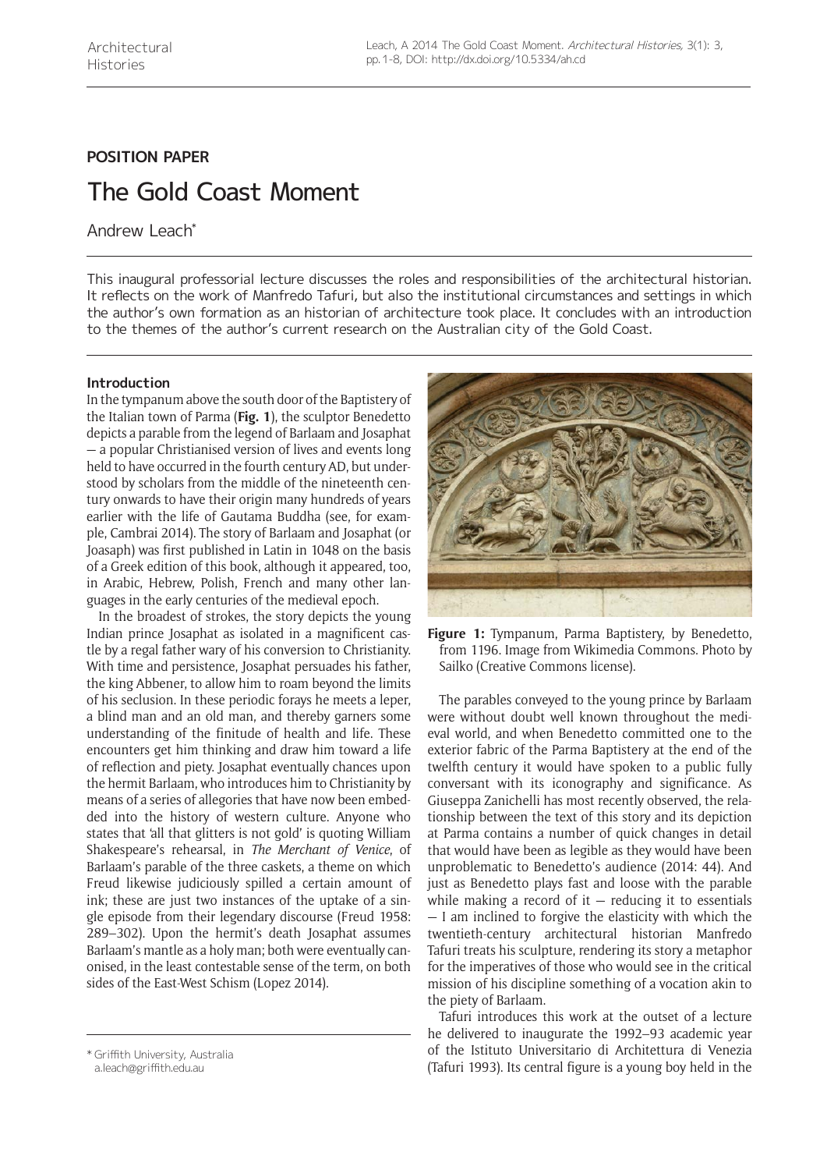# **POSITION PAPER**

# The Gold Coast Moment

Andrew Leach\*

This inaugural professorial lecture discusses the roles and responsibilities of the architectural historian. It reflects on the work of Manfredo Tafuri, but also the institutional circumstances and settings in which the author's own formation as an historian of architecture took place. It concludes with an introduction to the themes of the author's current research on the Australian city of the Gold Coast.

# **Introduction**

In the tympanum above the south door of the Baptistery of the Italian town of Parma (**Fig. 1**), the sculptor Benedetto depicts a parable from the legend of Barlaam and Josaphat — a popular Christianised version of lives and events long held to have occurred in the fourth century AD, but understood by scholars from the middle of the nineteenth century onwards to have their origin many hundreds of years earlier with the life of Gautama Buddha (see, for example, Cambrai 2014). The story of Barlaam and Josaphat (or Joasaph) was first published in Latin in 1048 on the basis of a Greek edition of this book, although it appeared, too, in Arabic, Hebrew, Polish, French and many other languages in the early centuries of the medieval epoch.

In the broadest of strokes, the story depicts the young Indian prince Josaphat as isolated in a magnificent castle by a regal father wary of his conversion to Christianity. With time and persistence, Josaphat persuades his father, the king Abbener, to allow him to roam beyond the limits of his seclusion. In these periodic forays he meets a leper, a blind man and an old man, and thereby garners some understanding of the finitude of health and life. These encounters get him thinking and draw him toward a life of reflection and piety. Josaphat eventually chances upon the hermit Barlaam, who introduces him to Christianity by means of a series of allegories that have now been embedded into the history of western culture. Anyone who states that 'all that glitters is not gold' is quoting William Shakespeare's rehearsal, in *The Merchant of Venice*, of Barlaam's parable of the three caskets, a theme on which Freud likewise judiciously spilled a certain amount of ink; these are just two instances of the uptake of a single episode from their legendary discourse (Freud 1958: 289–302). Upon the hermit's death Josaphat assumes Barlaam's mantle as a holy man; both were eventually canonised, in the least contestable sense of the term, on both sides of the East-West Schism (Lopez 2014).



[a.leach@griffith.edu.au](mailto:a.leach@griffith.edu.au)



**Figure 1:** Tympanum, Parma Baptistery, by Benedetto, from 1196. Image from [Wikimedia Commons.](http://commons.wikimedia.org/wiki/File%3ABattistero_di_parma%2C_portale_sud_03_leggenda_di_barlaam.JPG) Photo by Sailko ([Creative Commons](http://creativecommons.org/licenses/by-sa/3.0/deed.en) license).

The parables conveyed to the young prince by Barlaam were without doubt well known throughout the medieval world, and when Benedetto committed one to the exterior fabric of the Parma Baptistery at the end of the twelfth century it would have spoken to a public fully conversant with its iconography and significance. As Giuseppa Zanichelli has most recently observed, the relationship between the text of this story and its depiction at Parma contains a number of quick changes in detail that would have been as legible as they would have been unproblematic to Benedetto's audience (2014: 44). And just as Benedetto plays fast and loose with the parable while making a record of it  $-$  reducing it to essentials — I am inclined to forgive the elasticity with which the twentieth-century architectural historian Manfredo Tafuri treats his sculpture, rendering its story a metaphor for the imperatives of those who would see in the critical mission of his discipline something of a vocation akin to the piety of Barlaam.

Tafuri introduces this work at the outset of a lecture he delivered to inaugurate the 1992–93 academic year of the Istituto Universitario di Architettura di Venezia (Tafuri 1993). Its central figure is a young boy held in the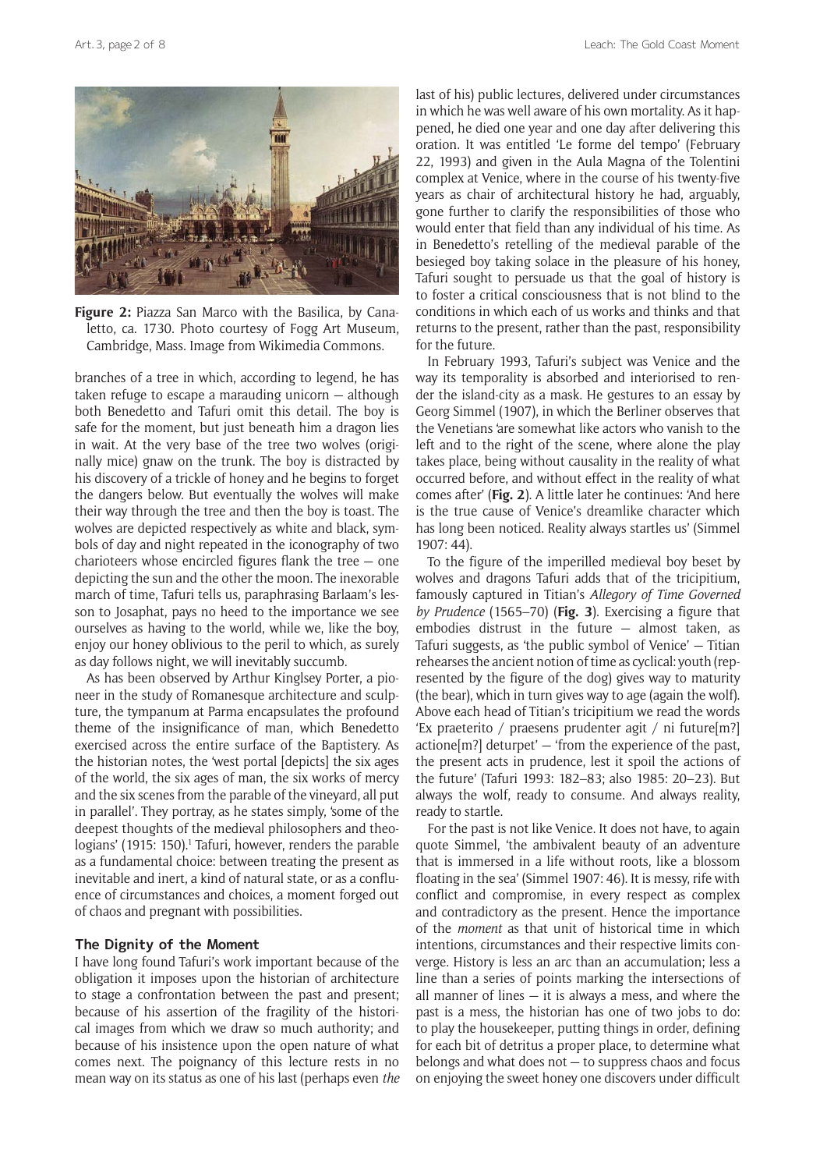

Figure 2: Piazza San Marco with the Basilica, by Canaletto, ca. 1730. Photo courtesy of Fogg Art Museum, Cambridge, Mass. Image from [Wikimedia Commons.](http://commons.wikimedia.org/wiki/File%3APiazza_San_Marco_with_the_Basilica%2C_by_Canaletto%2C_1730._Fogg_Art_Museum%2C_Cambridge.jpg)

branches of a tree in which, according to legend, he has taken refuge to escape a marauding unicorn — although both Benedetto and Tafuri omit this detail. The boy is safe for the moment, but just beneath him a dragon lies in wait. At the very base of the tree two wolves (originally mice) gnaw on the trunk. The boy is distracted by his discovery of a trickle of honey and he begins to forget the dangers below. But eventually the wolves will make their way through the tree and then the boy is toast. The wolves are depicted respectively as white and black, symbols of day and night repeated in the iconography of two charioteers whose encircled figures flank the tree — one depicting the sun and the other the moon. The inexorable march of time, Tafuri tells us, paraphrasing Barlaam's lesson to Josaphat, pays no heed to the importance we see ourselves as having to the world, while we, like the boy, enjoy our honey oblivious to the peril to which, as surely as day follows night, we will inevitably succumb.

As has been observed by Arthur Kinglsey Porter, a pioneer in the study of Romanesque architecture and sculpture, the tympanum at Parma encapsulates the profound theme of the insignificance of man, which Benedetto exercised across the entire surface of the Baptistery. As the historian notes, the 'west portal [depicts] the six ages of the world, the six ages of man, the six works of mercy and the six scenes from the parable of the vineyard, all put in parallel'. They portray, as he states simply, 'some of the deepest thoughts of the medieval philosophers and theologians' (1915: 150).<sup>1</sup> Tafuri, however, renders the parable as a fundamental choice: between treating the present as inevitable and inert, a kind of natural state, or as a confluence of circumstances and choices, a moment forged out of chaos and pregnant with possibilities.

#### **The Dignity of the Moment**

I have long found Tafuri's work important because of the obligation it imposes upon the historian of architecture to stage a confrontation between the past and present; because of his assertion of the fragility of the historical images from which we draw so much authority; and because of his insistence upon the open nature of what comes next. The poignancy of this lecture rests in no mean way on its status as one of his last (perhaps even *the* last of his) public lectures, delivered under circumstances in which he was well aware of his own mortality. As it happened, he died one year and one day after delivering this oration. It was entitled 'Le forme del tempo' (February 22, 1993) and given in the Aula Magna of the Tolentini complex at Venice, where in the course of his twenty-five years as chair of architectural history he had, arguably, gone further to clarify the responsibilities of those who would enter that field than any individual of his time. As in Benedetto's retelling of the medieval parable of the besieged boy taking solace in the pleasure of his honey, Tafuri sought to persuade us that the goal of history is to foster a critical consciousness that is not blind to the conditions in which each of us works and thinks and that returns to the present, rather than the past, responsibility for the future.

In February 1993, Tafuri's subject was Venice and the way its temporality is absorbed and interiorised to render the island-city as a mask. He gestures to an essay by Georg Simmel (1907), in which the Berliner observes that the Venetians 'are somewhat like actors who vanish to the left and to the right of the scene, where alone the play takes place, being without causality in the reality of what occurred before, and without effect in the reality of what comes after' (**Fig. 2**). A little later he continues: 'And here is the true cause of Venice's dreamlike character which has long been noticed. Reality always startles us' (Simmel 1907: 44).

To the figure of the imperilled medieval boy beset by wolves and dragons Tafuri adds that of the tricipitium, famously captured in Titian's *Allegory of Time Governed by Prudence* (1565–70) (**Fig. 3**). Exercising a figure that embodies distrust in the future — almost taken, as Tafuri suggests, as 'the public symbol of Venice' — Titian rehearses the ancient notion of time as cyclical: youth (represented by the figure of the dog) gives way to maturity (the bear), which in turn gives way to age (again the wolf). Above each head of Titian's tricipitium we read the words 'Ex praeterito / praesens prudenter agit / ni future[m?]  $\arctan\left[\frac{m}{2}\right]$  deturpet'  $-$  'from the experience of the past, the present acts in prudence, lest it spoil the actions of the future' (Tafuri 1993: 182–83; also 1985: 20–23). But always the wolf, ready to consume. And always reality, ready to startle.

For the past is not like Venice. It does not have, to again quote Simmel, 'the ambivalent beauty of an adventure that is immersed in a life without roots, like a blossom floating in the sea' (Simmel 1907: 46). It is messy, rife with conflict and compromise, in every respect as complex and contradictory as the present. Hence the importance of the *moment* as that unit of historical time in which intentions, circumstances and their respective limits converge. History is less an arc than an accumulation; less a line than a series of points marking the intersections of all manner of lines  $-$  it is always a mess, and where the past is a mess, the historian has one of two jobs to do: to play the housekeeper, putting things in order, defining for each bit of detritus a proper place, to determine what belongs and what does not — to suppress chaos and focus on enjoying the sweet honey one discovers under difficult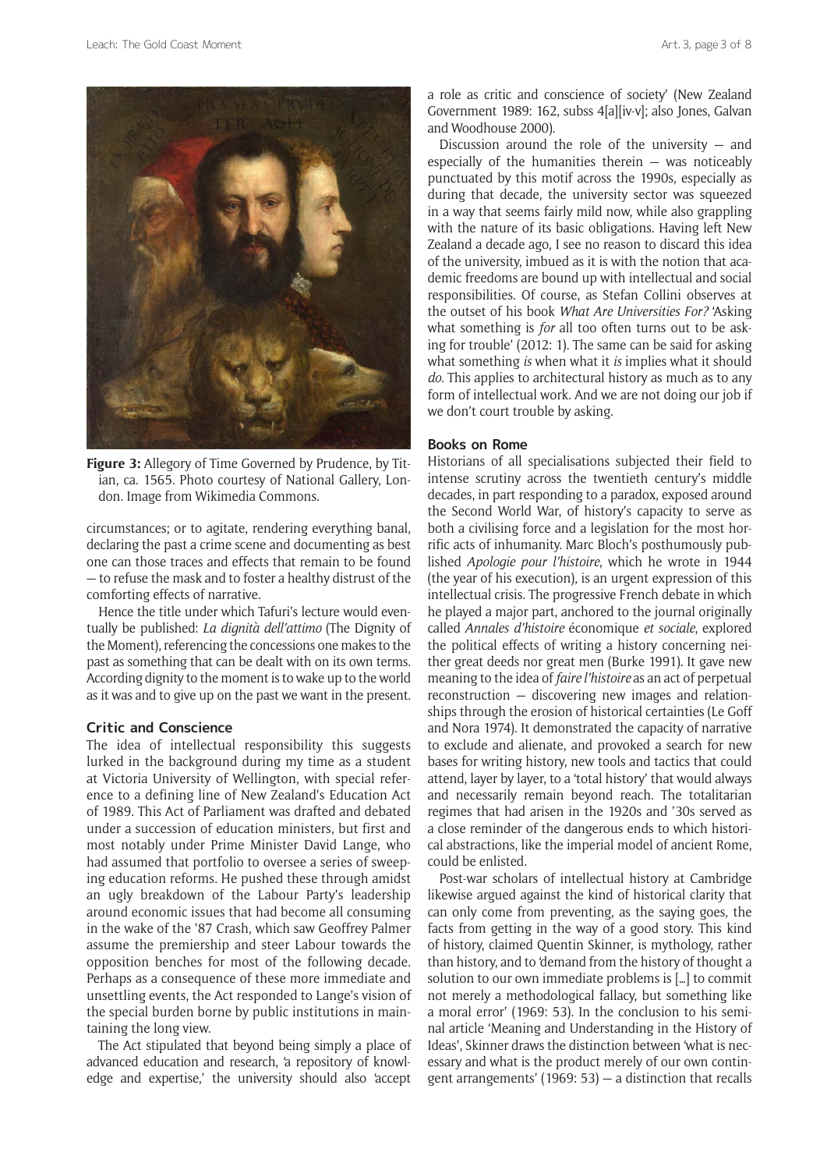

**Figure 3:** Allegory of Time Governed by Prudence, by Titian, ca. 1565. Photo courtesy of National Gallery, London. Image from [Wikimedia Commons.](http://commons.wikimedia.org/wiki/File%3ATitian_-_Allegorie_der_Zeit.jpg)

circumstances; or to agitate, rendering everything banal, declaring the past a crime scene and documenting as best one can those traces and effects that remain to be found — to refuse the mask and to foster a healthy distrust of the comforting effects of narrative.

Hence the title under which Tafuri's lecture would eventually be published: *La dignità dell'attimo* (The Dignity of the Moment), referencing the concessions one makes to the past as something that can be dealt with on its own terms. According dignity to the moment is to wake up to the world as it was and to give up on the past we want in the present.

#### **Critic and Conscience**

The idea of intellectual responsibility this suggests lurked in the background during my time as a student at Victoria University of Wellington, with special reference to a defining line of New Zealand's Education Act of 1989. This Act of Parliament was drafted and debated under a succession of education ministers, but first and most notably under Prime Minister David Lange, who had assumed that portfolio to oversee a series of sweeping education reforms. He pushed these through amidst an ugly breakdown of the Labour Party's leadership around economic issues that had become all consuming in the wake of the '87 Crash, which saw Geoffrey Palmer assume the premiership and steer Labour towards the opposition benches for most of the following decade. Perhaps as a consequence of these more immediate and unsettling events, the Act responded to Lange's vision of the special burden borne by public institutions in maintaining the long view.

The Act stipulated that beyond being simply a place of advanced education and research, 'a repository of knowledge and expertise,' the university should also 'accept

a role as critic and conscience of society' (New Zealand Government 1989: 162, subss 4[a][iv-v]; also Jones, Galvan and Woodhouse 2000).

Discussion around the role of the university  $-$  and especially of the humanities therein  $-$  was noticeably punctuated by this motif across the 1990s, especially as during that decade, the university sector was squeezed in a way that seems fairly mild now, while also grappling with the nature of its basic obligations. Having left New Zealand a decade ago, I see no reason to discard this idea of the university, imbued as it is with the notion that academic freedoms are bound up with intellectual and social responsibilities. Of course, as Stefan Collini observes at the outset of his book *What Are Universities For?* 'Asking what something is *for* all too often turns out to be asking for trouble' (2012: 1). The same can be said for asking what something *is* when what it *is* implies what it should *do*. This applies to architectural history as much as to any form of intellectual work. And we are not doing our job if we don't court trouble by asking.

# **Books on Rome**

Historians of all specialisations subjected their field to intense scrutiny across the twentieth century's middle decades, in part responding to a paradox, exposed around the Second World War, of history's capacity to serve as both a civilising force and a legislation for the most horrific acts of inhumanity. Marc Bloch's posthumously published *Apologie pour l'histoire*, which he wrote in 1944 (the year of his execution), is an urgent expression of this intellectual crisis. The progressive French debate in which he played a major part, anchored to the journal originally called *Annales d'histoire* économique *et sociale*, explored the political effects of writing a history concerning neither great deeds nor great men (Burke 1991). It gave new meaning to the idea of *faire l'histoire* as an act of perpetual reconstruction — discovering new images and relationships through the erosion of historical certainties (Le Goff and Nora 1974). It demonstrated the capacity of narrative to exclude and alienate, and provoked a search for new bases for writing history, new tools and tactics that could attend, layer by layer, to a 'total history' that would always and necessarily remain beyond reach. The totalitarian regimes that had arisen in the 1920s and '30s served as a close reminder of the dangerous ends to which historical abstractions, like the imperial model of ancient Rome, could be enlisted.

Post-war scholars of intellectual history at Cambridge likewise argued against the kind of historical clarity that can only come from preventing, as the saying goes, the facts from getting in the way of a good story. This kind of history, claimed Quentin Skinner, is mythology, rather than history, and to 'demand from the history of thought a solution to our own immediate problems is […] to commit not merely a methodological fallacy, but something like a moral error' (1969: 53). In the conclusion to his seminal article 'Meaning and Understanding in the History of Ideas', Skinner draws the distinction between 'what is necessary and what is the product merely of our own contingent arrangements' (1969: 53) — a distinction that recalls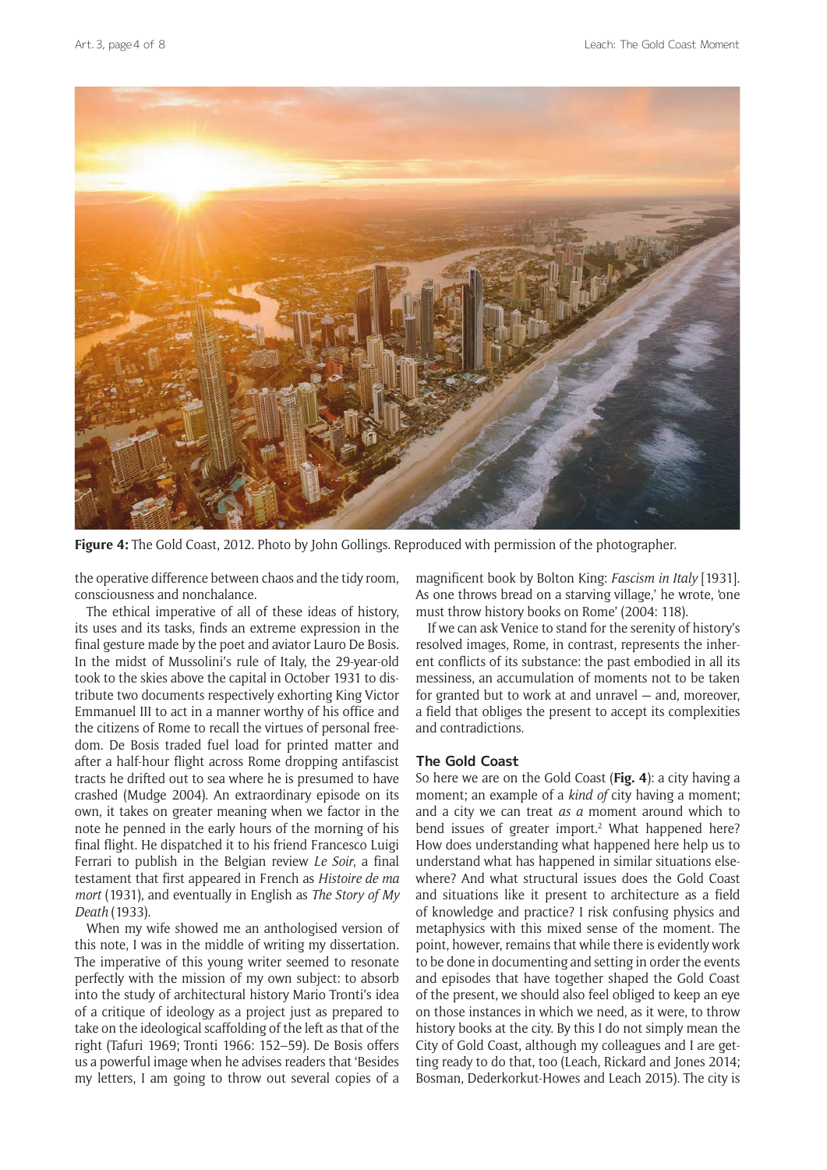

**Figure 4:** The Gold Coast, 2012. Photo by John Gollings. Reproduced with permission of the photographer.

the operative difference between chaos and the tidy room, consciousness and nonchalance.

The ethical imperative of all of these ideas of history, its uses and its tasks, finds an extreme expression in the final gesture made by the poet and aviator Lauro De Bosis. In the midst of Mussolini's rule of Italy, the 29-year-old took to the skies above the capital in October 1931 to distribute two documents respectively exhorting King Victor Emmanuel III to act in a manner worthy of his office and the citizens of Rome to recall the virtues of personal freedom. De Bosis traded fuel load for printed matter and after a half-hour flight across Rome dropping antifascist tracts he drifted out to sea where he is presumed to have crashed (Mudge 2004). An extraordinary episode on its own, it takes on greater meaning when we factor in the note he penned in the early hours of the morning of his final flight. He dispatched it to his friend Francesco Luigi Ferrari to publish in the Belgian review *Le Soir*, a final testament that first appeared in French as *Histoire de ma mort* (1931), and eventually in English as *The Story of My Death* (1933).

When my wife showed me an anthologised version of this note, I was in the middle of writing my dissertation. The imperative of this young writer seemed to resonate perfectly with the mission of my own subject: to absorb into the study of architectural history Mario Tronti's idea of a critique of ideology as a project just as prepared to take on the ideological scaffolding of the left as that of the right (Tafuri 1969; Tronti 1966: 152–59). De Bosis offers us a powerful image when he advises readers that 'Besides my letters, I am going to throw out several copies of a

magnificent book by Bolton King: *Fascism in Italy* [1931]. As one throws bread on a starving village,' he wrote, 'one must throw history books on Rome' (2004: 118).

If we can ask Venice to stand for the serenity of history's resolved images, Rome, in contrast, represents the inherent conflicts of its substance: the past embodied in all its messiness, an accumulation of moments not to be taken for granted but to work at and unravel — and, moreover, a field that obliges the present to accept its complexities and contradictions.

# **The Gold Coast**

So here we are on the Gold Coast (**Fig. 4**): a city having a moment; an example of a *kind of* city having a moment; and a city we can treat *as a* moment around which to bend issues of greater import.<sup>2</sup> What happened here? How does understanding what happened here help us to understand what has happened in similar situations elsewhere? And what structural issues does the Gold Coast and situations like it present to architecture as a field of knowledge and practice? I risk confusing physics and metaphysics with this mixed sense of the moment. The point, however, remains that while there is evidently work to be done in documenting and setting in order the events and episodes that have together shaped the Gold Coast of the present, we should also feel obliged to keep an eye on those instances in which we need, as it were, to throw history books at the city. By this I do not simply mean the City of Gold Coast, although my colleagues and I are getting ready to do that, too (Leach, Rickard and Jones 2014; Bosman, Dederkorkut-Howes and Leach 2015). The city is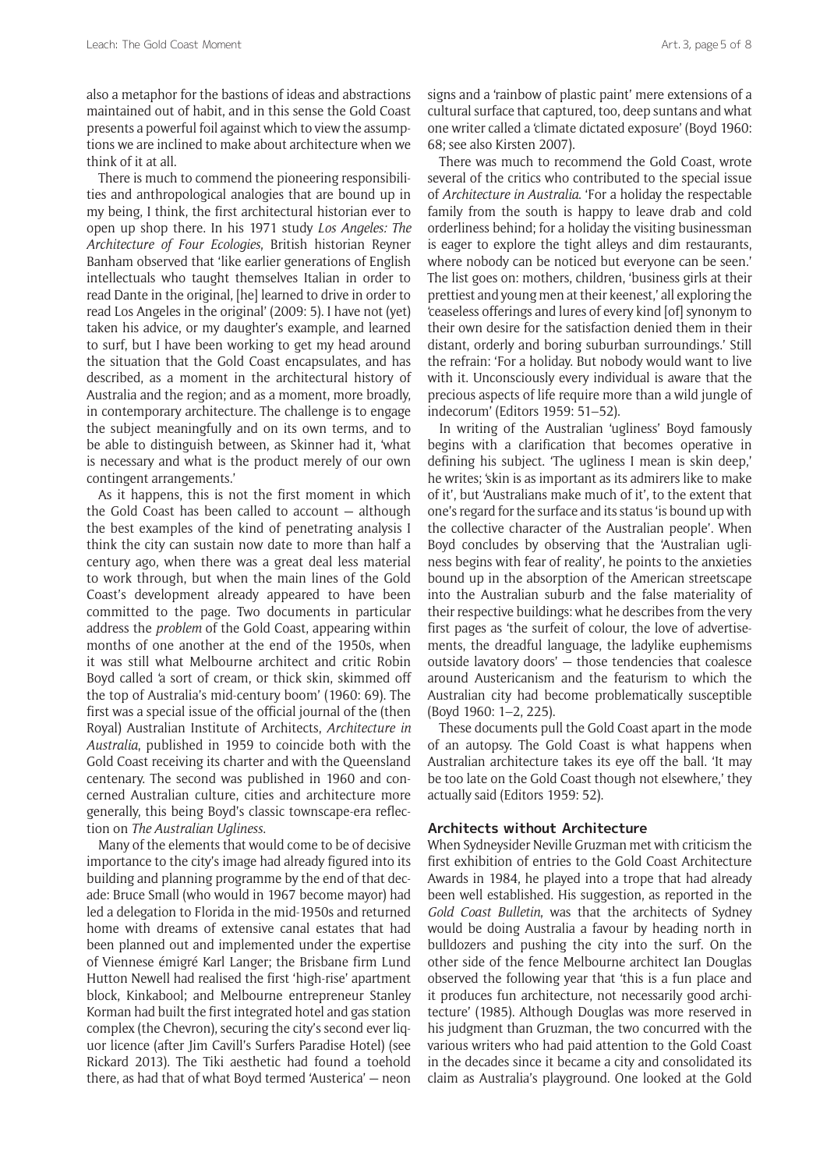also a metaphor for the bastions of ideas and abstractions maintained out of habit, and in this sense the Gold Coast presents a powerful foil against which to view the assumptions we are inclined to make about architecture when we think of it at all.

There is much to commend the pioneering responsibilities and anthropological analogies that are bound up in my being, I think, the first architectural historian ever to open up shop there. In his 1971 study *Los Angeles: The Architecture of Four Ecologies*, British historian Reyner Banham observed that 'like earlier generations of English intellectuals who taught themselves Italian in order to read Dante in the original, [he] learned to drive in order to read Los Angeles in the original' (2009: 5). I have not (yet) taken his advice, or my daughter's example, and learned to surf, but I have been working to get my head around the situation that the Gold Coast encapsulates, and has described, as a moment in the architectural history of Australia and the region; and as a moment, more broadly, in contemporary architecture. The challenge is to engage the subject meaningfully and on its own terms, and to be able to distinguish between, as Skinner had it, 'what is necessary and what is the product merely of our own contingent arrangements.'

As it happens, this is not the first moment in which the Gold Coast has been called to account — although the best examples of the kind of penetrating analysis I think the city can sustain now date to more than half a century ago, when there was a great deal less material to work through, but when the main lines of the Gold Coast's development already appeared to have been committed to the page. Two documents in particular address the *problem* of the Gold Coast, appearing within months of one another at the end of the 1950s, when it was still what Melbourne architect and critic Robin Boyd called 'a sort of cream, or thick skin, skimmed off the top of Australia's mid-century boom' (1960: 69). The first was a special issue of the official journal of the (then Royal) Australian Institute of Architects, *Architecture in Australia*, published in 1959 to coincide both with the Gold Coast receiving its charter and with the Queensland centenary. The second was published in 1960 and concerned Australian culture, cities and architecture more generally, this being Boyd's classic townscape-era reflection on *The Australian Ugliness*.

Many of the elements that would come to be of decisive importance to the city's image had already figured into its building and planning programme by the end of that decade: Bruce Small (who would in 1967 become mayor) had led a delegation to Florida in the mid-1950s and returned home with dreams of extensive canal estates that had been planned out and implemented under the expertise of Viennese émigré Karl Langer; the Brisbane firm Lund Hutton Newell had realised the first 'high-rise' apartment block, Kinkabool; and Melbourne entrepreneur Stanley Korman had built the first integrated hotel and gas station complex (the Chevron), securing the city's second ever liquor licence (after Jim Cavill's Surfers Paradise Hotel) (see Rickard 2013). The Tiki aesthetic had found a toehold there, as had that of what Boyd termed 'Austerica' — neon signs and a 'rainbow of plastic paint' mere extensions of a cultural surface that captured, too, deep suntans and what one writer called a 'climate dictated exposure' (Boyd 1960: 68; see also Kirsten 2007).

There was much to recommend the Gold Coast, wrote several of the critics who contributed to the special issue of *Architecture in Australia*. 'For a holiday the respectable family from the south is happy to leave drab and cold orderliness behind; for a holiday the visiting businessman is eager to explore the tight alleys and dim restaurants, where nobody can be noticed but everyone can be seen.' The list goes on: mothers, children, 'business girls at their prettiest and young men at their keenest,' all exploring the 'ceaseless offerings and lures of every kind [of] synonym to their own desire for the satisfaction denied them in their distant, orderly and boring suburban surroundings.' Still the refrain: 'For a holiday. But nobody would want to live with it. Unconsciously every individual is aware that the precious aspects of life require more than a wild jungle of indecorum' (Editors 1959: 51–52).

In writing of the Australian 'ugliness' Boyd famously begins with a clarification that becomes operative in defining his subject. 'The ugliness I mean is skin deep,' he writes; 'skin is as important as its admirers like to make of it', but 'Australians make much of it', to the extent that one's regard for the surface and its status 'is bound up with the collective character of the Australian people'. When Boyd concludes by observing that the 'Australian ugliness begins with fear of reality', he points to the anxieties bound up in the absorption of the American streetscape into the Australian suburb and the false materiality of their respective buildings: what he describes from the very first pages as 'the surfeit of colour, the love of advertisements, the dreadful language, the ladylike euphemisms outside lavatory doors' — those tendencies that coalesce around Austericanism and the featurism to which the Australian city had become problematically susceptible (Boyd 1960: 1–2, 225).

These documents pull the Gold Coast apart in the mode of an autopsy. The Gold Coast is what happens when Australian architecture takes its eye off the ball. 'It may be too late on the Gold Coast though not elsewhere,' they actually said (Editors 1959: 52).

#### **Architects without Architecture**

When Sydneysider Neville Gruzman met with criticism the first exhibition of entries to the Gold Coast Architecture Awards in 1984, he played into a trope that had already been well established. His suggestion, as reported in the *Gold Coast Bulletin*, was that the architects of Sydney would be doing Australia a favour by heading north in bulldozers and pushing the city into the surf. On the other side of the fence Melbourne architect Ian Douglas observed the following year that 'this is a fun place and it produces fun architecture, not necessarily good architecture' (1985). Although Douglas was more reserved in his judgment than Gruzman, the two concurred with the various writers who had paid attention to the Gold Coast in the decades since it became a city and consolidated its claim as Australia's playground. One looked at the Gold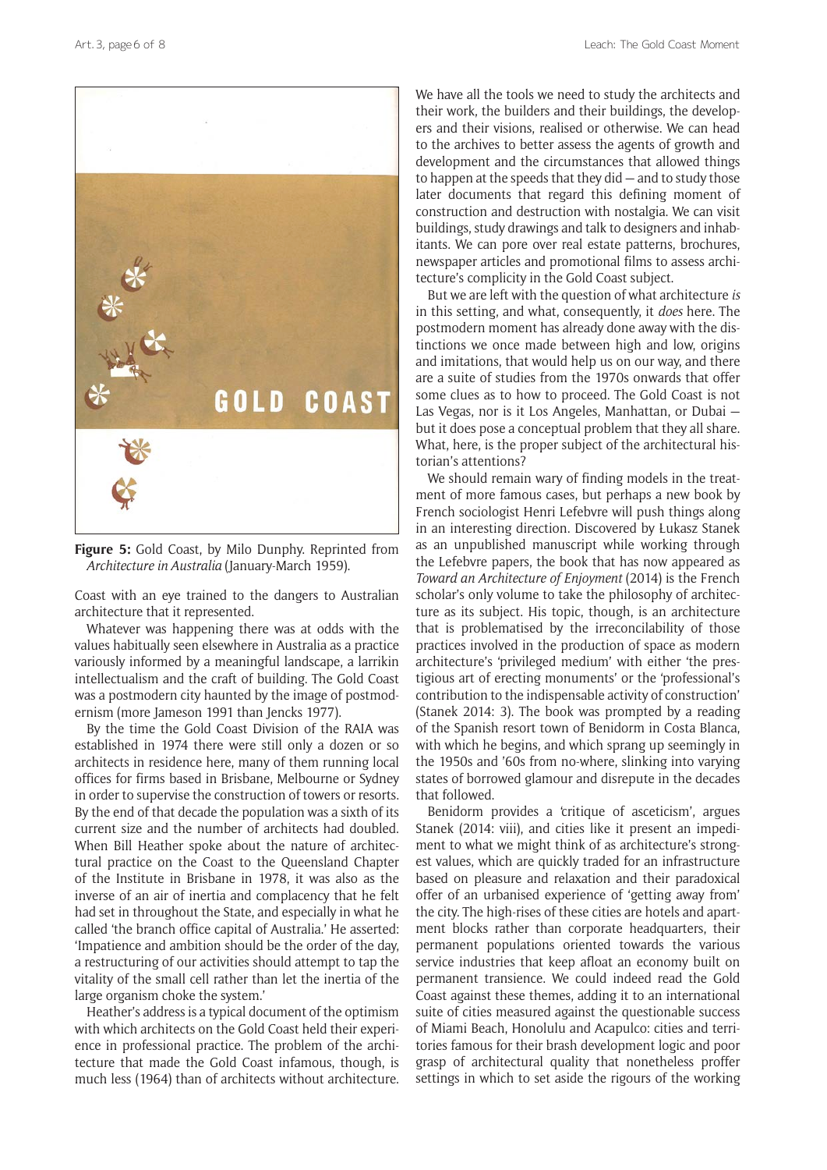

**Figure 5:** Gold Coast, by Milo Dunphy. Reprinted from *Architecture in Australia* (January-March 1959).

Coast with an eye trained to the dangers to Australian architecture that it represented.

Whatever was happening there was at odds with the values habitually seen elsewhere in Australia as a practice variously informed by a meaningful landscape, a larrikin intellectualism and the craft of building. The Gold Coast was a postmodern city haunted by the image of postmodernism (more Jameson 1991 than Jencks 1977).

By the time the Gold Coast Division of the RAIA was established in 1974 there were still only a dozen or so architects in residence here, many of them running local offices for firms based in Brisbane, Melbourne or Sydney in order to supervise the construction of towers or resorts. By the end of that decade the population was a sixth of its current size and the number of architects had doubled. When Bill Heather spoke about the nature of architectural practice on the Coast to the Queensland Chapter of the Institute in Brisbane in 1978, it was also as the inverse of an air of inertia and complacency that he felt had set in throughout the State, and especially in what he called 'the branch office capital of Australia.' He asserted: 'Impatience and ambition should be the order of the day, a restructuring of our activities should attempt to tap the vitality of the small cell rather than let the inertia of the large organism choke the system.'

Heather's address is a typical document of the optimism with which architects on the Gold Coast held their experience in professional practice. The problem of the architecture that made the Gold Coast infamous, though, is much less (1964) than of architects without architecture. We have all the tools we need to study the architects and their work, the builders and their buildings, the developers and their visions, realised or otherwise. We can head to the archives to better assess the agents of growth and development and the circumstances that allowed things to happen at the speeds that they did — and to study those later documents that regard this defining moment of construction and destruction with nostalgia. We can visit buildings, study drawings and talk to designers and inhabitants. We can pore over real estate patterns, brochures, newspaper articles and promotional films to assess architecture's complicity in the Gold Coast subject.

But we are left with the question of what architecture *is* in this setting, and what, consequently, it *does* here. The postmodern moment has already done away with the distinctions we once made between high and low, origins and imitations, that would help us on our way, and there are a suite of studies from the 1970s onwards that offer some clues as to how to proceed. The Gold Coast is not Las Vegas, nor is it Los Angeles, Manhattan, or Dubai but it does pose a conceptual problem that they all share. What, here, is the proper subject of the architectural historian's attentions?

We should remain wary of finding models in the treatment of more famous cases, but perhaps a new book by French sociologist Henri Lefebvre will push things along in an interesting direction. Discovered by Łukasz Stanek as an unpublished manuscript while working through the Lefebvre papers, the book that has now appeared as *Toward an Architecture of Enjoyment* (2014) is the French scholar's only volume to take the philosophy of architecture as its subject. His topic, though, is an architecture that is problematised by the irreconcilability of those practices involved in the production of space as modern architecture's 'privileged medium' with either 'the prestigious art of erecting monuments' or the 'professional's contribution to the indispensable activity of construction' (Stanek 2014: 3). The book was prompted by a reading of the Spanish resort town of Benidorm in Costa Blanca, with which he begins, and which sprang up seemingly in the 1950s and '60s from no-where, slinking into varying states of borrowed glamour and disrepute in the decades that followed.

Benidorm provides a 'critique of asceticism', argues Stanek (2014: viii), and cities like it present an impediment to what we might think of as architecture's strongest values, which are quickly traded for an infrastructure based on pleasure and relaxation and their paradoxical offer of an urbanised experience of 'getting away from' the city. The high-rises of these cities are hotels and apartment blocks rather than corporate headquarters, their permanent populations oriented towards the various service industries that keep afloat an economy built on permanent transience. We could indeed read the Gold Coast against these themes, adding it to an international suite of cities measured against the questionable success of Miami Beach, Honolulu and Acapulco: cities and territories famous for their brash development logic and poor grasp of architectural quality that nonetheless proffer settings in which to set aside the rigours of the working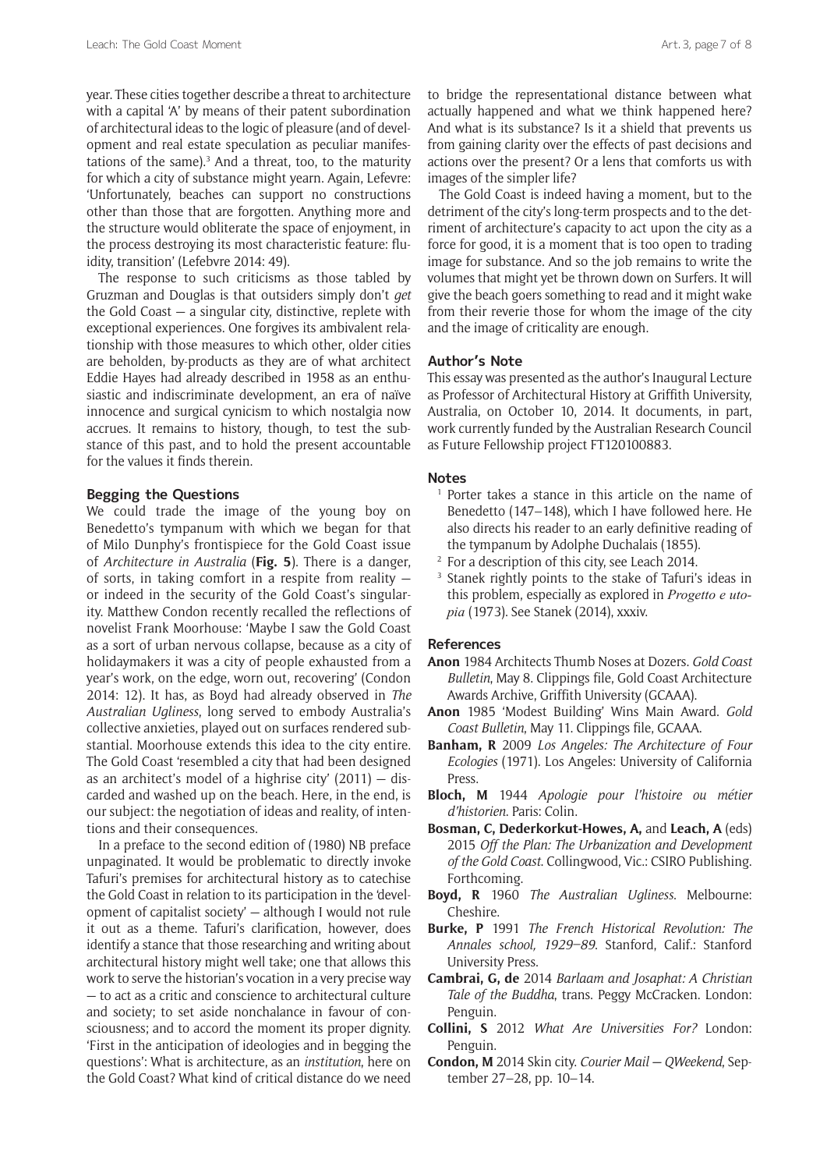year. These cities together describe a threat to architecture with a capital 'A' by means of their patent subordination of architectural ideas to the logic of pleasure (and of development and real estate speculation as peculiar manifestations of the same).<sup>3</sup> And a threat, too, to the maturity for which a city of substance might yearn. Again, Lefevre: 'Unfortunately, beaches can support no constructions other than those that are forgotten. Anything more and the structure would obliterate the space of enjoyment, in the process destroying its most characteristic feature: fluidity, transition' (Lefebvre 2014: 49).

The response to such criticisms as those tabled by Gruzman and Douglas is that outsiders simply don't *get* the Gold Coast — a singular city, distinctive, replete with exceptional experiences. One forgives its ambivalent relationship with those measures to which other, older cities are beholden, by-products as they are of what architect Eddie Hayes had already described in 1958 as an enthusiastic and indiscriminate development, an era of naïve innocence and surgical cynicism to which nostalgia now accrues. It remains to history, though, to test the substance of this past, and to hold the present accountable for the values it finds therein.

# **Begging the Questions**

We could trade the image of the young boy on Benedetto's tympanum with which we began for that of Milo Dunphy's frontispiece for the Gold Coast issue of *Architecture in Australia* (**Fig. 5**). There is a danger, of sorts, in taking comfort in a respite from reality or indeed in the security of the Gold Coast's singularity. Matthew Condon recently recalled the reflections of novelist Frank Moorhouse: 'Maybe I saw the Gold Coast as a sort of urban nervous collapse, because as a city of holidaymakers it was a city of people exhausted from a year's work, on the edge, worn out, recovering' (Condon 2014: 12). It has, as Boyd had already observed in *The Australian Ugliness*, long served to embody Australia's collective anxieties, played out on surfaces rendered substantial. Moorhouse extends this idea to the city entire. The Gold Coast 'resembled a city that had been designed as an architect's model of a highrise city' (2011) — discarded and washed up on the beach. Here, in the end, is our subject: the negotiation of ideas and reality, of intentions and their consequences.

In a preface to the second edition of (1980) NB preface unpaginated. It would be problematic to directly invoke Tafuri's premises for architectural history as to catechise the Gold Coast in relation to its participation in the 'development of capitalist society' — although I would not rule it out as a theme. Tafuri's clarification, however, does identify a stance that those researching and writing about architectural history might well take; one that allows this work to serve the historian's vocation in a very precise way — to act as a critic and conscience to architectural culture and society; to set aside nonchalance in favour of consciousness; and to accord the moment its proper dignity. 'First in the anticipation of ideologies and in begging the questions': What is architecture, as an *institution*, here on the Gold Coast? What kind of critical distance do we need

to bridge the representational distance between what actually happened and what we think happened here? And what is its substance? Is it a shield that prevents us from gaining clarity over the effects of past decisions and actions over the present? Or a lens that comforts us with images of the simpler life?

The Gold Coast is indeed having a moment, but to the detriment of the city's long-term prospects and to the detriment of architecture's capacity to act upon the city as a force for good, it is a moment that is too open to trading image for substance. And so the job remains to write the volumes that might yet be thrown down on Surfers. It will give the beach goers something to read and it might wake from their reverie those for whom the image of the city and the image of criticality are enough.

#### **Author's Note**

This essay was presented as the author's Inaugural Lecture as Professor of Architectural History at Griffith University, Australia, on October 10, 2014. It documents, in part, work currently funded by the Australian Research Council as Future Fellowship project FT120100883.

#### **Notes**

- <sup>1</sup> Porter takes a stance in this article on the name of Benedetto (147–148), which I have followed here. He also directs his reader to an early definitive reading of the tympanum by Adolphe Duchalais (1855).
- <sup>2</sup> For a description of this city, see Leach 2014.
- <sup>3</sup> Stanek rightly points to the stake of Tafuri's ideas in this problem, especially as explored in *Progetto e utopia* (1973). See Stanek (2014), xxxiv.

# **References**

- **Anon** 1984 Architects Thumb Noses at Dozers. *Gold Coast Bulletin*, May 8. Clippings file, Gold Coast Architecture Awards Archive, Griffith University (GCAAA).
- **Anon** 1985 'Modest Building' Wins Main Award. *Gold Coast Bulletin*, May 11. Clippings file, GCAAA.
- **Banham, R** 2009 *Los Angeles: The Architecture of Four Ecologies* (1971). Los Angeles: University of California Press.
- **Bloch, M** 1944 *Apologie pour l'histoire ou métier d'historien*. Paris: Colin.
- **Bosman, C, Dederkorkut-Howes, A,** and **Leach, A** (eds) 2015 *Off the Plan: The Urbanization and Development of the Gold Coast*. Collingwood, Vic.: CSIRO Publishing. Forthcoming.
- **Boyd, R** 1960 *The Australian Ugliness*. Melbourne: Cheshire.
- **Burke, P** 1991 *The French Historical Revolution: The Annales school, 1929–89*. Stanford, Calif.: Stanford University Press.
- **Cambrai, G, de** 2014 *Barlaam and Josaphat: A Christian Tale of the Buddha*, trans. Peggy McCracken. London: Penguin.
- **Collini, S** 2012 *What Are Universities For?* London: Penguin.
- **Condon, M** 2014 Skin city. *Courier Mail QWeekend*, September 27–28, pp. 10–14.